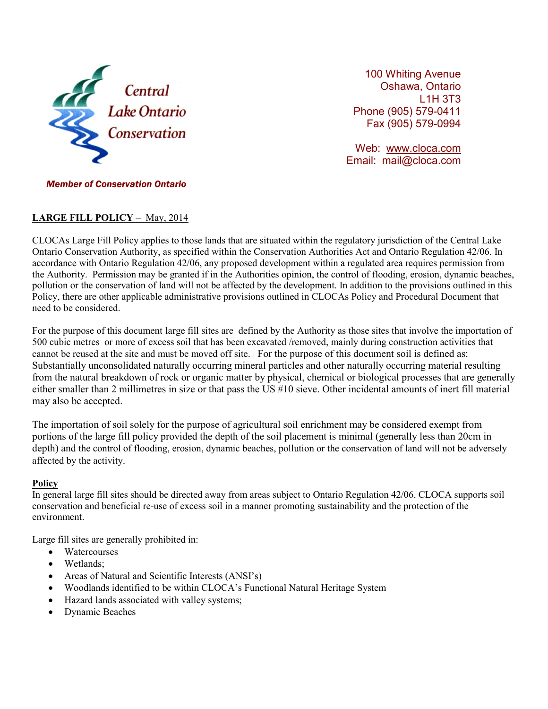

100 Whiting Avenue Oshawa, Ontario L1H 3T3 Phone (905) 579-0411 Fax (905) 579-0994

Web: [www.cloca.com](http://www.cloca.com/) Email: mail@cloca.com

## *Member of Conservation Ontario*

## **LARGE FILL POLICY** – May, 2014

CLOCAs Large Fill Policy applies to those lands that are situated within the regulatory jurisdiction of the Central Lake Ontario Conservation Authority, as specified within the Conservation Authorities Act and Ontario Regulation 42/06. In accordance with Ontario Regulation 42/06, any proposed development within a regulated area requires permission from the Authority. Permission may be granted if in the Authorities opinion, the control of flooding, erosion, dynamic beaches, pollution or the conservation of land will not be affected by the development. In addition to the provisions outlined in this Policy, there are other applicable administrative provisions outlined in CLOCAs Policy and Procedural Document that need to be considered.

For the purpose of this document large fill sites are defined by the Authority as those sites that involve the importation of 500 cubic metres or more of excess soil that has been excavated /removed, mainly during construction activities that cannot be reused at the site and must be moved off site. For the purpose of this document soil is defined as: Substantially unconsolidated naturally occurring mineral particles and other naturally occurring material resulting from the natural breakdown of rock or organic matter by physical, chemical or biological processes that are generally either smaller than 2 millimetres in size or that pass the US #10 sieve. Other incidental amounts of inert fill material may also be accepted.

The importation of soil solely for the purpose of agricultural soil enrichment may be considered exempt from portions of the large fill policy provided the depth of the soil placement is minimal (generally less than 20cm in depth) and the control of flooding, erosion, dynamic beaches, pollution or the conservation of land will not be adversely affected by the activity.

### **Policy**

In general large fill sites should be directed away from areas subject to Ontario Regulation 42/06. CLOCA supports soil conservation and beneficial re-use of excess soil in a manner promoting sustainability and the protection of the environment.

Large fill sites are generally prohibited in:

- Watercourses
- Wetlands;
- Areas of Natural and Scientific Interests (ANSI's)
- Woodlands identified to be within CLOCA's Functional Natural Heritage System
- Hazard lands associated with valley systems;
- Dynamic Beaches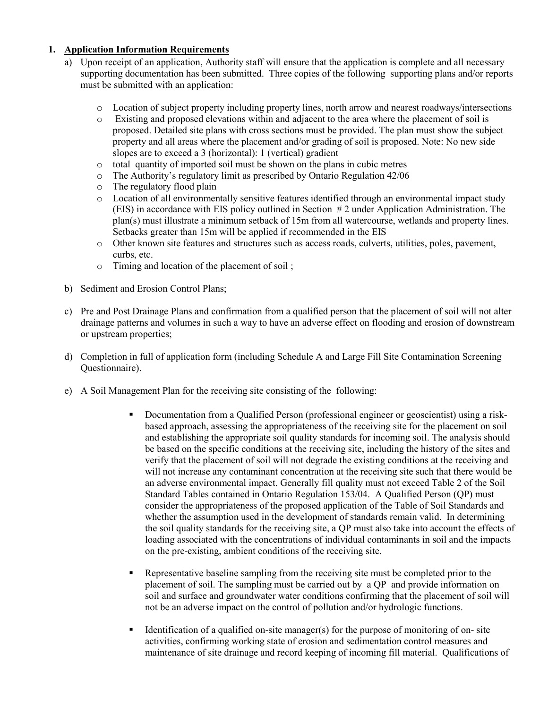## **1. Application Information Requirements**

- a) Upon receipt of an application, Authority staff will ensure that the application is complete and all necessary supporting documentation has been submitted. Three copies of the following supporting plans and/or reports must be submitted with an application:
	- o Location of subject property including property lines, north arrow and nearest roadways/intersections
	- o Existing and proposed elevations within and adjacent to the area where the placement of soil is proposed. Detailed site plans with cross sections must be provided. The plan must show the subject property and all areas where the placement and/or grading of soil is proposed. Note: No new side slopes are to exceed a 3 (horizontal): 1 (vertical) gradient
	- o total quantity of imported soil must be shown on the plans in cubic metres
	- o The Authority's regulatory limit as prescribed by Ontario Regulation 42/06
	- o The regulatory flood plain
	- o Location of all environmentally sensitive features identified through an environmental impact study (EIS) in accordance with EIS policy outlined in Section # 2 under Application Administration. The plan(s) must illustrate a minimum setback of 15m from all watercourse, wetlands and property lines. Setbacks greater than 15m will be applied if recommended in the EIS
	- o Other known site features and structures such as access roads, culverts, utilities, poles, pavement, curbs, etc.
	- o Timing and location of the placement of soil ;
- b) Sediment and Erosion Control Plans;
- c) Pre and Post Drainage Plans and confirmation from a qualified person that the placement of soil will not alter drainage patterns and volumes in such a way to have an adverse effect on flooding and erosion of downstream or upstream properties;
- d) Completion in full of application form (including Schedule A and Large Fill Site Contamination Screening Questionnaire).
- e) A Soil Management Plan for the receiving site consisting of the following:
	- Documentation from a Qualified Person (professional engineer or geoscientist) using a riskbased approach, assessing the appropriateness of the receiving site for the placement on soil and establishing the appropriate soil quality standards for incoming soil. The analysis should be based on the specific conditions at the receiving site, including the history of the sites and verify that the placement of soil will not degrade the existing conditions at the receiving and will not increase any contaminant concentration at the receiving site such that there would be an adverse environmental impact. Generally fill quality must not exceed Table 2 of the Soil Standard Tables contained in Ontario Regulation 153/04. A Qualified Person (QP) must consider the appropriateness of the proposed application of the Table of Soil Standards and whether the assumption used in the development of standards remain valid. In determining the soil quality standards for the receiving site, a QP must also take into account the effects of loading associated with the concentrations of individual contaminants in soil and the impacts on the pre-existing, ambient conditions of the receiving site.
	- **EXECUTE:** Representative baseline sampling from the receiving site must be completed prior to the placement of soil. The sampling must be carried out by a QP and provide information on soil and surface and groundwater water conditions confirming that the placement of soil will not be an adverse impact on the control of pollution and/or hydrologic functions.
	- Identification of a qualified on-site manager(s) for the purpose of monitoring of on-site activities, confirming working state of erosion and sedimentation control measures and maintenance of site drainage and record keeping of incoming fill material. Qualifications of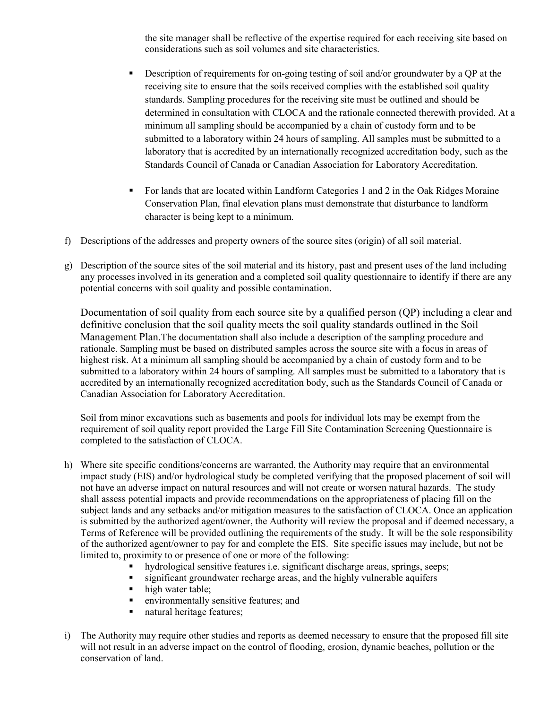the site manager shall be reflective of the expertise required for each receiving site based on considerations such as soil volumes and site characteristics.

- Description of requirements for on-going testing of soil and/or groundwater by a OP at the receiving site to ensure that the soils received complies with the established soil quality standards. Sampling procedures for the receiving site must be outlined and should be determined in consultation with CLOCA and the rationale connected therewith provided. At a minimum all sampling should be accompanied by a chain of custody form and to be submitted to a laboratory within 24 hours of sampling. All samples must be submitted to a laboratory that is accredited by an internationally recognized accreditation body, such as the Standards Council of Canada or Canadian Association for Laboratory Accreditation.
- For lands that are located within Landform Categories 1 and 2 in the Oak Ridges Moraine Conservation Plan, final elevation plans must demonstrate that disturbance to landform character is being kept to a minimum.
- f) Descriptions of the addresses and property owners of the source sites (origin) of all soil material.
- g) Description of the source sites of the soil material and its history, past and present uses of the land including any processes involved in its generation and a completed soil quality questionnaire to identify if there are any potential concerns with soil quality and possible contamination.

Documentation of soil quality from each source site by a qualified person (QP) including a clear and definitive conclusion that the soil quality meets the soil quality standards outlined in the Soil Management Plan.The documentation shall also include a description of the sampling procedure and rationale. Sampling must be based on distributed samples across the source site with a focus in areas of highest risk. At a minimum all sampling should be accompanied by a chain of custody form and to be submitted to a laboratory within 24 hours of sampling. All samples must be submitted to a laboratory that is accredited by an internationally recognized accreditation body, such as the Standards Council of Canada or Canadian Association for Laboratory Accreditation.

Soil from minor excavations such as basements and pools for individual lots may be exempt from the requirement of soil quality report provided the Large Fill Site Contamination Screening Questionnaire is completed to the satisfaction of CLOCA.

- h) Where site specific conditions/concerns are warranted, the Authority may require that an environmental impact study (EIS) and/or hydrological study be completed verifying that the proposed placement of soil will not have an adverse impact on natural resources and will not create or worsen natural hazards. The study shall assess potential impacts and provide recommendations on the appropriateness of placing fill on the subject lands and any setbacks and/or mitigation measures to the satisfaction of CLOCA. Once an application is submitted by the authorized agent/owner, the Authority will review the proposal and if deemed necessary, a Terms of Reference will be provided outlining the requirements of the study. It will be the sole responsibility of the authorized agent/owner to pay for and complete the EIS. Site specific issues may include, but not be limited to, proximity to or presence of one or more of the following:
	- hydrological sensitive features i.e. significant discharge areas, springs, seeps;<br>• sionificant groundwater recharge areas, and the highly vulnerable aquifers
	- significant groundwater recharge areas, and the highly vulnerable aquifers
	- high water table;<br>• environmentally
	- environmentally sensitive features; and
	- natural heritage features:
- i) The Authority may require other studies and reports as deemed necessary to ensure that the proposed fill site will not result in an adverse impact on the control of flooding, erosion, dynamic beaches, pollution or the conservation of land.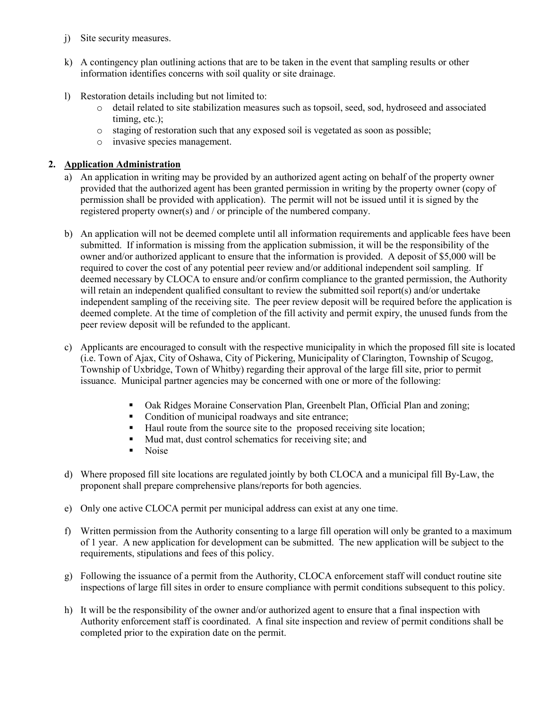- j) Site security measures.
- k) A contingency plan outlining actions that are to be taken in the event that sampling results or other information identifies concerns with soil quality or site drainage.
- l) Restoration details including but not limited to:
	- o detail related to site stabilization measures such as topsoil, seed, sod, hydroseed and associated timing, etc.);
	- o staging of restoration such that any exposed soil is vegetated as soon as possible;
	- o invasive species management.

# **2. Application Administration**

- a) An application in writing may be provided by an authorized agent acting on behalf of the property owner provided that the authorized agent has been granted permission in writing by the property owner (copy of permission shall be provided with application). The permit will not be issued until it is signed by the registered property owner(s) and / or principle of the numbered company.
- b) An application will not be deemed complete until all information requirements and applicable fees have been submitted. If information is missing from the application submission, it will be the responsibility of the owner and/or authorized applicant to ensure that the information is provided. A deposit of \$5,000 will be required to cover the cost of any potential peer review and/or additional independent soil sampling. If deemed necessary by CLOCA to ensure and/or confirm compliance to the granted permission, the Authority will retain an independent qualified consultant to review the submitted soil report(s) and/or undertake independent sampling of the receiving site. The peer review deposit will be required before the application is deemed complete. At the time of completion of the fill activity and permit expiry, the unused funds from the peer review deposit will be refunded to the applicant.
- c) Applicants are encouraged to consult with the respective municipality in which the proposed fill site is located (i.e. Town of Ajax, City of Oshawa, City of Pickering, Municipality of Clarington, Township of Scugog, Township of Uxbridge, Town of Whitby) regarding their approval of the large fill site, prior to permit issuance. Municipal partner agencies may be concerned with one or more of the following:
	- Oak Ridges Moraine Conservation Plan, Greenbelt Plan, Official Plan and zoning;
	- Condition of municipal roadways and site entrance;
	- Haul route from the source site to the proposed receiving site location;
	- Mud mat, dust control schematics for receiving site; and
	- Noise
- d) Where proposed fill site locations are regulated jointly by both CLOCA and a municipal fill By-Law, the proponent shall prepare comprehensive plans/reports for both agencies.
- e) Only one active CLOCA permit per municipal address can exist at any one time.
- f) Written permission from the Authority consenting to a large fill operation will only be granted to a maximum of 1 year. A new application for development can be submitted. The new application will be subject to the requirements, stipulations and fees of this policy.
- g) Following the issuance of a permit from the Authority, CLOCA enforcement staff will conduct routine site inspections of large fill sites in order to ensure compliance with permit conditions subsequent to this policy.
- h) It will be the responsibility of the owner and/or authorized agent to ensure that a final inspection with Authority enforcement staff is coordinated. A final site inspection and review of permit conditions shall be completed prior to the expiration date on the permit.